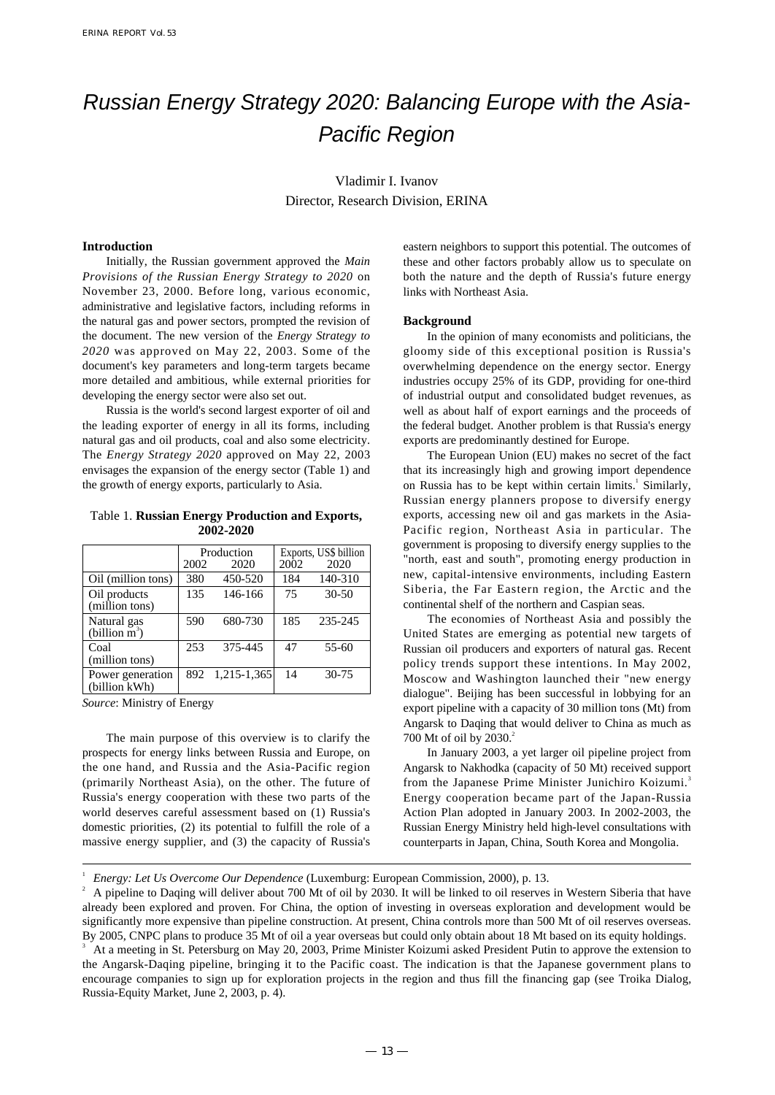# Russian Energy Strategy 2020: Balancing Europe with the Asia-Pacific Region

Vladimir I. Ivanov Director, Research Division, ERINA

# **Introduction**

Initially, the Russian government approved the *Main Provisions of the Russian Energy Strategy to 2020* on November 23, 2000. Before long, various economic, administrative and legislative factors, including reforms in the natural gas and power sectors, prompted the revision of the document. The new version of the *Energy Strategy to 2020* was approved on May 22, 2003. Some of the document's key parameters and long-term targets became more detailed and ambitious, while external priorities for developing the energy sector were also set out.

Russia is the world's second largest exporter of oil and the leading exporter of energy in all its forms, including natural gas and oil products, coal and also some electricity. The *Energy Strategy 2020* approved on May 22, 2003 envisages the expansion of the energy sector (Table 1) and the growth of energy exports, particularly to Asia.

## Table 1. **Russian Energy Production and Exports, 2002-2020**

|                                           | Production |             | Exports, US\$ billion |           |
|-------------------------------------------|------------|-------------|-----------------------|-----------|
|                                           | 2002       | 2020        | 2002                  | 2020      |
| Oil (million tons)                        | 380        | 450-520     | 184                   | 140-310   |
| Oil products<br>(million tons)            | 135        | 146-166     | 75                    | $30 - 50$ |
| Natural gas<br>$(billion \overline{m}^3)$ | 590        | 680-730     | 185                   | 235-245   |
| Coal<br>(million tons)                    | 253        | 375-445     | 47                    | 55-60     |
| Power generation<br>(billion kWh)         | 892        | 1,215-1,365 | 14                    | $30 - 75$ |

*Source*: Ministry of Energy

The main purpose of this overview is to clarify the prospects for energy links between Russia and Europe, on the one hand, and Russia and the Asia-Pacific region (primarily Northeast Asia), on the other. The future of Russia's energy cooperation with these two parts of the world deserves careful assessment based on (1) Russia's domestic priorities, (2) its potential to fulfill the role of a massive energy supplier, and (3) the capacity of Russia's eastern neighbors to support this potential. The outcomes of these and other factors probably allow us to speculate on both the nature and the depth of Russia's future energy links with Northeast Asia.

#### **Background**

In the opinion of many economists and politicians, the gloomy side of this exceptional position is Russia's overwhelming dependence on the energy sector. Energy industries occupy 25% of its GDP, providing for one-third of industrial output and consolidated budget revenues, as well as about half of export earnings and the proceeds of the federal budget. Another problem is that Russia's energy exports are predominantly destined for Europe.

The European Union (EU) makes no secret of the fact that its increasingly high and growing import dependence on Russia has to be kept within certain limits.<sup>1</sup> Similarly, Russian energy planners propose to diversify energy exports, accessing new oil and gas markets in the Asia-Pacific region, Northeast Asia in particular. The government is proposing to diversify energy supplies to the "north, east and south", promoting energy production in new, capital-intensive environments, including Eastern Siberia, the Far Eastern region, the Arctic and the continental shelf of the northern and Caspian seas.

The economies of Northeast Asia and possibly the United States are emerging as potential new targets of Russian oil producers and exporters of natural gas. Recent policy trends support these intentions. In May 2002, Moscow and Washington launched their "new energy dialogue". Beijing has been successful in lobbying for an export pipeline with a capacity of 30 million tons (Mt) from Angarsk to Daqing that would deliver to China as much as 700 Mt of oil by 2030.<sup>2</sup>

In January 2003, a yet larger oil pipeline project from Angarsk to Nakhodka (capacity of 50 Mt) received support from the Japanese Prime Minister Junichiro Koizumi.<sup>3</sup> Energy cooperation became part of the Japan-Russia Action Plan adopted in January 2003. In 2002-2003, the Russian Energy Ministry held high-level consultations with counterparts in Japan, China, South Korea and Mongolia.

<sup>1</sup> *Energy: Let Us Overcome Our Dependence* (Luxemburg: European Commission, 2000), p. 13.

<sup>2</sup> A pipeline to Daqing will deliver about 700 Mt of oil by 2030. It will be linked to oil reserves in Western Siberia that have already been explored and proven. For China, the option of investing in overseas exploration and development would be significantly more expensive than pipeline construction. At present, China controls more than 500 Mt of oil reserves overseas. By 2005, CNPC plans to produce 35 Mt of oil a year overseas but could only obtain about 18 Mt based on its equity holdings.

<sup>3</sup> At a meeting in St. Petersburg on May 20, 2003, Prime Minister Koizumi asked President Putin to approve the extension to the Angarsk-Daqing pipeline, bringing it to the Pacific coast. The indication is that the Japanese government plans to encourage companies to sign up for exploration projects in the region and thus fill the financing gap (see Troika Dialog, Russia-Equity Market, June 2, 2003, p. 4).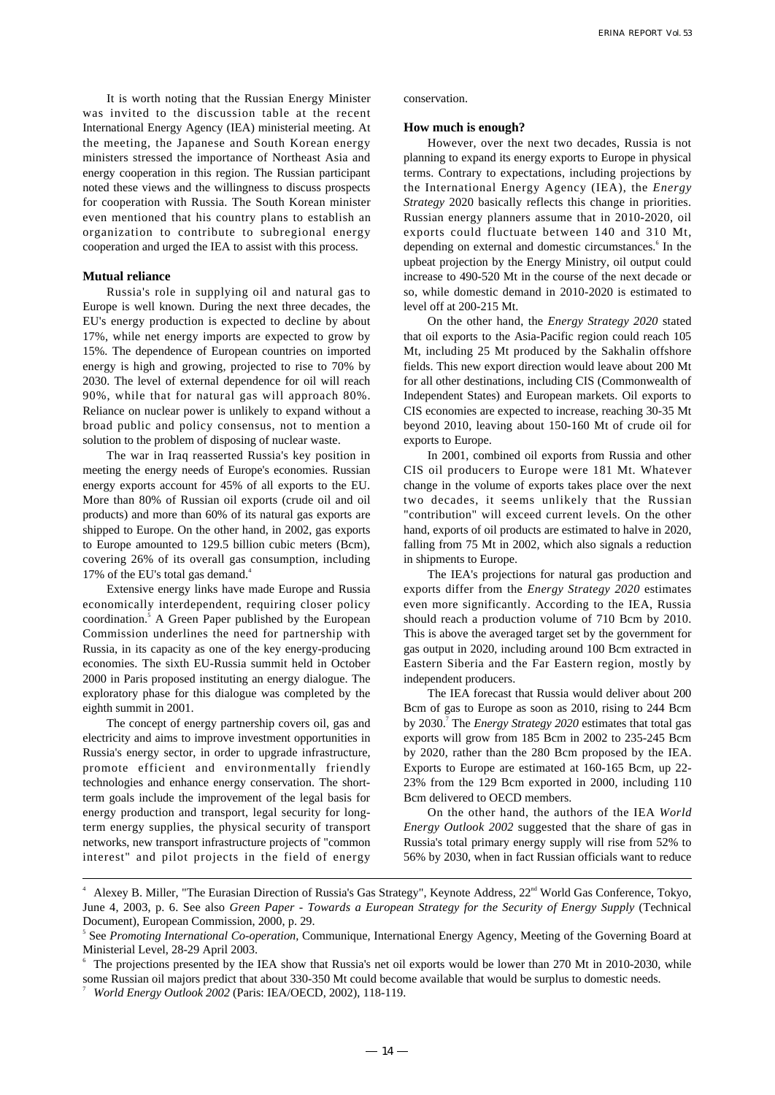It is worth noting that the Russian Energy Minister was invited to the discussion table at the recent International Energy Agency (IEA) ministerial meeting. At the meeting, the Japanese and South Korean energy ministers stressed the importance of Northeast Asia and energy cooperation in this region. The Russian participant noted these views and the willingness to discuss prospects for cooperation with Russia. The South Korean minister even mentioned that his country plans to establish an organization to contribute to subregional energy cooperation and urged the IEA to assist with this process.

#### **Mutual reliance**

Russia's role in supplying oil and natural gas to Europe is well known. During the next three decades, the EU's energy production is expected to decline by about 17%, while net energy imports are expected to grow by 15%. The dependence of European countries on imported energy is high and growing, projected to rise to 70% by 2030. The level of external dependence for oil will reach 90%, while that for natural gas will approach 80%. Reliance on nuclear power is unlikely to expand without a broad public and policy consensus, not to mention a solution to the problem of disposing of nuclear waste.

The war in Iraq reasserted Russia's key position in meeting the energy needs of Europe's economies. Russian energy exports account for 45% of all exports to the EU. More than 80% of Russian oil exports (crude oil and oil products) and more than 60% of its natural gas exports are shipped to Europe. On the other hand, in 2002, gas exports to Europe amounted to 129.5 billion cubic meters (Bcm), covering 26% of its overall gas consumption, including 17% of the EU's total gas demand.<sup>4</sup>

Extensive energy links have made Europe and Russia economically interdependent, requiring closer policy coordination.<sup>5</sup> A Green Paper published by the European Commission underlines the need for partnership with Russia, in its capacity as one of the key energy-producing economies. The sixth EU-Russia summit held in October 2000 in Paris proposed instituting an energy dialogue. The exploratory phase for this dialogue was completed by the eighth summit in 2001.

The concept of energy partnership covers oil, gas and electricity and aims to improve investment opportunities in Russia's energy sector, in order to upgrade infrastructure, promote efficient and environmentally friendly technologies and enhance energy conservation. The shortterm goals include the improvement of the legal basis for energy production and transport, legal security for longterm energy supplies, the physical security of transport networks, new transport infrastructure projects of "common interest" and pilot projects in the field of energy conservation.

#### **How much is enough?**

However, over the next two decades, Russia is not planning to expand its energy exports to Europe in physical terms. Contrary to expectations, including projections by the International Energy Agency (IEA), the *Energy Strategy* 2020 basically reflects this change in priorities. Russian energy planners assume that in 2010-2020, oil exports could fluctuate between 140 and 310 Mt, depending on external and domestic circumstances.<sup>6</sup> In the upbeat projection by the Energy Ministry, oil output could increase to 490-520 Mt in the course of the next decade or so, while domestic demand in 2010-2020 is estimated to level off at 200-215 Mt.

On the other hand, the *Energy Strategy 2020* stated that oil exports to the Asia-Pacific region could reach 105 Mt, including 25 Mt produced by the Sakhalin offshore fields. This new export direction would leave about 200 Mt for all other destinations, including CIS (Commonwealth of Independent States) and European markets. Oil exports to CIS economies are expected to increase, reaching 30-35 Mt beyond 2010, leaving about 150-160 Mt of crude oil for exports to Europe.

In 2001, combined oil exports from Russia and other CIS oil producers to Europe were 181 Mt. Whatever change in the volume of exports takes place over the next two decades, it seems unlikely that the Russian "contribution" will exceed current levels. On the other hand, exports of oil products are estimated to halve in 2020, falling from 75 Mt in 2002, which also signals a reduction in shipments to Europe.

The IEA's projections for natural gas production and exports differ from the *Energy Strategy 2020* estimates even more significantly. According to the IEA, Russia should reach a production volume of 710 Bcm by 2010. This is above the averaged target set by the government for gas output in 2020, including around 100 Bcm extracted in Eastern Siberia and the Far Eastern region, mostly by independent producers.

The IEA forecast that Russia would deliver about 200 Bcm of gas to Europe as soon as 2010, rising to 244 Bcm by 2030.7 The *Energy Strategy 2020* estimates that total gas exports will grow from 185 Bcm in 2002 to 235-245 Bcm by 2020, rather than the 280 Bcm proposed by the IEA. Exports to Europe are estimated at 160-165 Bcm, up 22- 23% from the 129 Bcm exported in 2000, including 110 Bcm delivered to OECD members.

On the other hand, the authors of the IEA *World Energy Outlook 2002* suggested that the share of gas in Russia's total primary energy supply will rise from 52% to 56% by 2030, when in fact Russian officials want to reduce

<sup>4</sup> Alexey B. Miller, "The Eurasian Direction of Russia's Gas Strategy", Keynote Address, 22<sup>nd</sup> World Gas Conference, Tokyo, June 4, 2003, p. 6. See also *Green Paper - Towards a European Strategy for the Security of Energy Supply* (Technical Document), European Commission, 2000, p. 29.

<sup>5</sup> See *Promoting International Co-operation,* Communique, International Energy Agency, Meeting of the Governing Board at Ministerial Level, 28-29 April 2003.

The projections presented by the IEA show that Russia's net oil exports would be lower than 270 Mt in 2010-2030, while some Russian oil majors predict that about 330-350 Mt could become available that would be surplus to domestic needs.

<sup>7</sup> *World Energy Outlook 2002* (Paris: IEA/OECD, 2002), 118-119.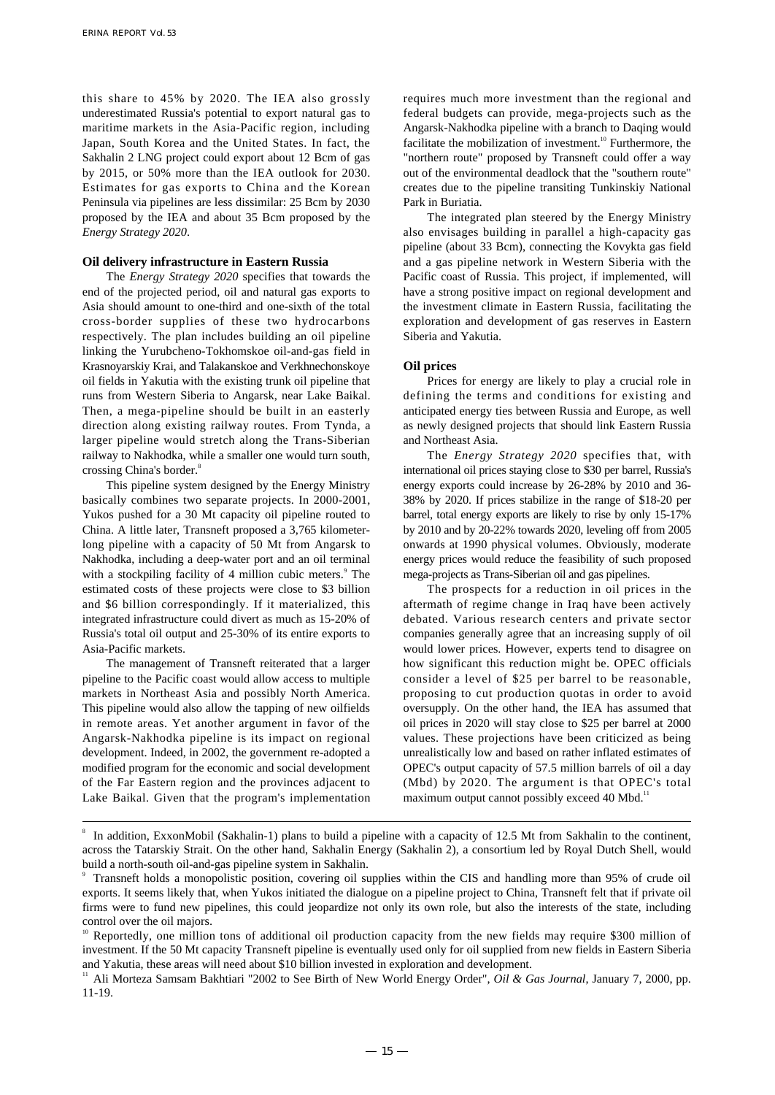this share to 45% by 2020. The IEA also grossly underestimated Russia's potential to export natural gas to maritime markets in the Asia-Pacific region, including Japan, South Korea and the United States. In fact, the Sakhalin 2 LNG project could export about 12 Bcm of gas by 2015, or 50% more than the IEA outlook for 2030. Estimates for gas exports to China and the Korean Peninsula via pipelines are less dissimilar: 25 Bcm by 2030 proposed by the IEA and about 35 Bcm proposed by the *Energy Strategy 2020*.

## **Oil delivery infrastructure in Eastern Russia**

The *Energy Strategy 2020* specifies that towards the end of the projected period, oil and natural gas exports to Asia should amount to one-third and one-sixth of the total cross-border supplies of these two hydrocarbons respectively. The plan includes building an oil pipeline linking the Yurubcheno-Tokhomskoe oil-and-gas field in Krasnoyarskiy Krai, and Talakanskoe and Verkhnechonskoye oil fields in Yakutia with the existing trunk oil pipeline that runs from Western Siberia to Angarsk, near Lake Baikal. Then, a mega-pipeline should be built in an easterly direction along existing railway routes. From Tynda, a larger pipeline would stretch along the Trans-Siberian railway to Nakhodka, while a smaller one would turn south, crossing China's border.<sup>8</sup>

This pipeline system designed by the Energy Ministry basically combines two separate projects. In 2000-2001, Yukos pushed for a 30 Mt capacity oil pipeline routed to China. A little later, Transneft proposed a 3,765 kilometerlong pipeline with a capacity of 50 Mt from Angarsk to Nakhodka, including a deep-water port and an oil terminal with a stockpiling facility of 4 million cubic meters.<sup>9</sup> The estimated costs of these projects were close to \$3 billion and \$6 billion correspondingly. If it materialized, this integrated infrastructure could divert as much as 15-20% of Russia's total oil output and 25-30% of its entire exports to Asia-Pacific markets.

The management of Transneft reiterated that a larger pipeline to the Pacific coast would allow access to multiple markets in Northeast Asia and possibly North America. This pipeline would also allow the tapping of new oilfields in remote areas. Yet another argument in favor of the Angarsk-Nakhodka pipeline is its impact on regional development. Indeed, in 2002, the government re-adopted a modified program for the economic and social development of the Far Eastern region and the provinces adjacent to Lake Baikal. Given that the program's implementation requires much more investment than the regional and federal budgets can provide, mega-projects such as the Angarsk-Nakhodka pipeline with a branch to Daqing would facilitate the mobilization of investment.<sup>10</sup> Furthermore, the "northern route" proposed by Transneft could offer a way out of the environmental deadlock that the "southern route" creates due to the pipeline transiting Tunkinskiy National Park in Buriatia.

The integrated plan steered by the Energy Ministry also envisages building in parallel a high-capacity gas pipeline (about 33 Bcm), connecting the Kovykta gas field and a gas pipeline network in Western Siberia with the Pacific coast of Russia. This project, if implemented, will have a strong positive impact on regional development and the investment climate in Eastern Russia, facilitating the exploration and development of gas reserves in Eastern Siberia and Yakutia.

## **Oil prices**

Prices for energy are likely to play a crucial role in defining the terms and conditions for existing and anticipated energy ties between Russia and Europe, as well as newly designed projects that should link Eastern Russia and Northeast Asia.

The *Energy Strategy 2020* specifies that, with international oil prices staying close to \$30 per barrel, Russia's energy exports could increase by 26-28% by 2010 and 36- 38% by 2020. If prices stabilize in the range of \$18-20 per barrel, total energy exports are likely to rise by only 15-17% by 2010 and by 20-22% towards 2020, leveling off from 2005 onwards at 1990 physical volumes. Obviously, moderate energy prices would reduce the feasibility of such proposed mega-projects as Trans-Siberian oil and gas pipelines.

The prospects for a reduction in oil prices in the aftermath of regime change in Iraq have been actively debated. Various research centers and private sector companies generally agree that an increasing supply of oil would lower prices. However, experts tend to disagree on how significant this reduction might be. OPEC officials consider a level of \$25 per barrel to be reasonable, proposing to cut production quotas in order to avoid oversupply. On the other hand, the IEA has assumed that oil prices in 2020 will stay close to \$25 per barrel at 2000 values. These projections have been criticized as being unrealistically low and based on rather inflated estimates of OPEC's output capacity of 57.5 million barrels of oil a day (Mbd) by 2020. The argument is that OPEC's total maximum output cannot possibly exceed 40 Mbd.<sup>11</sup>

<sup>8</sup> In addition, ExxonMobil (Sakhalin-1) plans to build a pipeline with a capacity of 12.5 Mt from Sakhalin to the continent, across the Tatarskiy Strait. On the other hand, Sakhalin Energy (Sakhalin 2), a consortium led by Royal Dutch Shell, would build a north-south oil-and-gas pipeline system in Sakhalin.

<sup>9</sup> Transneft holds a monopolistic position, covering oil supplies within the CIS and handling more than 95% of crude oil exports. It seems likely that, when Yukos initiated the dialogue on a pipeline project to China, Transneft felt that if private oil firms were to fund new pipelines, this could jeopardize not only its own role, but also the interests of the state, including control over the oil majors.

<sup>10</sup> Reportedly, one million tons of additional oil production capacity from the new fields may require \$300 million of investment. If the 50 Mt capacity Transneft pipeline is eventually used only for oil supplied from new fields in Eastern Siberia and Yakutia, these areas will need about \$10 billion invested in exploration and development.

<sup>&</sup>lt;sup>11</sup> Ali Morteza Samsam Bakhtiari "2002 to See Birth of New World Energy Order", *Oil & Gas Journal*, January 7, 2000, pp. 11-19.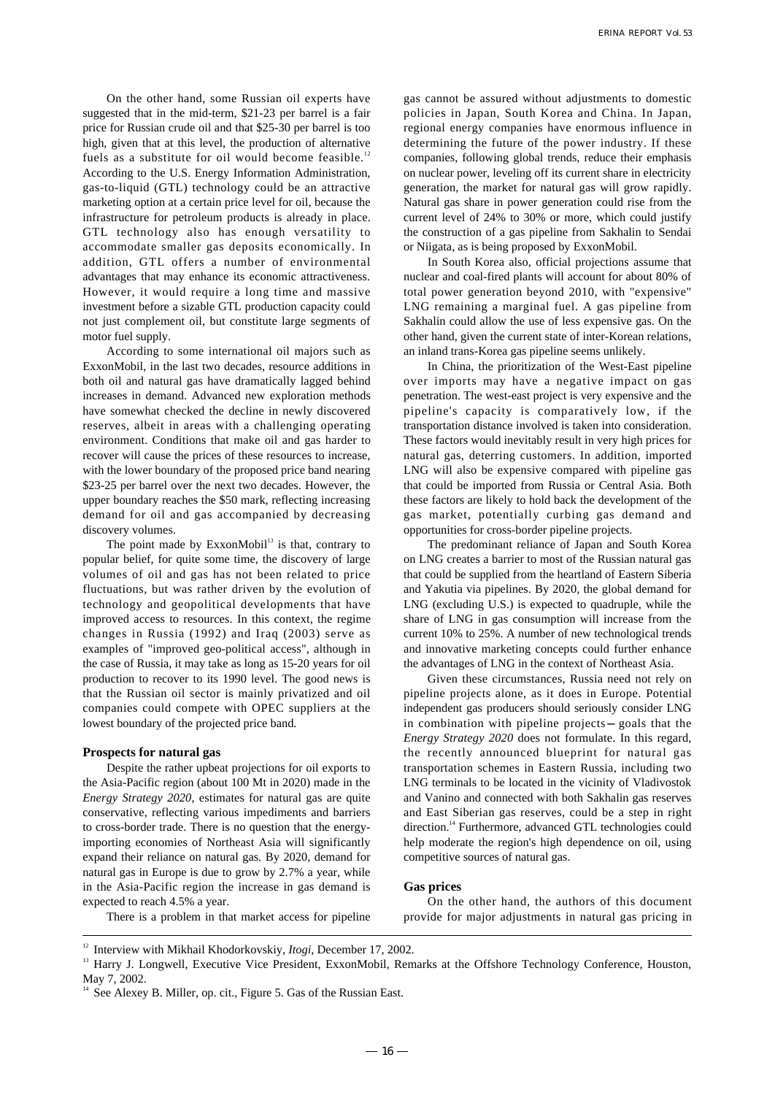On the other hand, some Russian oil experts have suggested that in the mid-term, \$21-23 per barrel is a fair price for Russian crude oil and that \$25-30 per barrel is too high, given that at this level, the production of alternative fuels as a substitute for oil would become feasible.<sup>12</sup> According to the U.S. Energy Information Administration, gas-to-liquid (GTL) technology could be an attractive marketing option at a certain price level for oil, because the infrastructure for petroleum products is already in place. GTL technology also has enough versatility to accommodate smaller gas deposits economically. In addition, GTL offers a number of environmental advantages that may enhance its economic attractiveness. However, it would require a long time and massive investment before a sizable GTL production capacity could not just complement oil, but constitute large segments of motor fuel supply.

According to some international oil majors such as ExxonMobil, in the last two decades, resource additions in both oil and natural gas have dramatically lagged behind increases in demand. Advanced new exploration methods have somewhat checked the decline in newly discovered reserves, albeit in areas with a challenging operating environment. Conditions that make oil and gas harder to recover will cause the prices of these resources to increase, with the lower boundary of the proposed price band nearing \$23-25 per barrel over the next two decades. However, the upper boundary reaches the \$50 mark, reflecting increasing demand for oil and gas accompanied by decreasing discovery volumes.

The point made by  $ExxonMobil<sup>13</sup>$  is that, contrary to popular belief, for quite some time, the discovery of large volumes of oil and gas has not been related to price fluctuations, but was rather driven by the evolution of technology and geopolitical developments that have improved access to resources. In this context, the regime changes in Russia (1992) and Iraq (2003) serve as examples of "improved geo-political access", although in the case of Russia, it may take as long as 15-20 years for oil production to recover to its 1990 level. The good news is that the Russian oil sector is mainly privatized and oil companies could compete with OPEC suppliers at the lowest boundary of the projected price band.

#### **Prospects for natural gas**

Despite the rather upbeat projections for oil exports to the Asia-Pacific region (about 100 Mt in 2020) made in the *Energy Strategy 2020*, estimates for natural gas are quite conservative, reflecting various impediments and barriers to cross-border trade. There is no question that the energyimporting economies of Northeast Asia will significantly expand their reliance on natural gas. By 2020, demand for natural gas in Europe is due to grow by 2.7% a year, while in the Asia-Pacific region the increase in gas demand is expected to reach 4.5% a year.

gas cannot be assured without adjustments to domestic policies in Japan, South Korea and China. In Japan, regional energy companies have enormous influence in determining the future of the power industry. If these companies, following global trends, reduce their emphasis on nuclear power, leveling off its current share in electricity generation, the market for natural gas will grow rapidly. Natural gas share in power generation could rise from the current level of 24% to 30% or more, which could justify the construction of a gas pipeline from Sakhalin to Sendai or Niigata, as is being proposed by ExxonMobil.

In South Korea also, official projections assume that nuclear and coal-fired plants will account for about 80% of total power generation beyond 2010, with "expensive" LNG remaining a marginal fuel. A gas pipeline from Sakhalin could allow the use of less expensive gas. On the other hand, given the current state of inter-Korean relations, an inland trans-Korea gas pipeline seems unlikely.

In China, the prioritization of the West-East pipeline over imports may have a negative impact on gas penetration. The west-east project is very expensive and the pipeline's capacity is comparatively low, if the transportation distance involved is taken into consideration. These factors would inevitably result in very high prices for natural gas, deterring customers. In addition, imported LNG will also be expensive compared with pipeline gas that could be imported from Russia or Central Asia. Both these factors are likely to hold back the development of the gas market, potentially curbing gas demand and opportunities for cross-border pipeline projects.

The predominant reliance of Japan and South Korea on LNG creates a barrier to most of the Russian natural gas that could be supplied from the heartland of Eastern Siberia and Yakutia via pipelines. By 2020, the global demand for LNG (excluding U.S.) is expected to quadruple, while the share of LNG in gas consumption will increase from the current 10% to 25%. A number of new technological trends and innovative marketing concepts could further enhance the advantages of LNG in the context of Northeast Asia.

Given these circumstances, Russia need not rely on pipeline projects alone, as it does in Europe. Potential independent gas producers should seriously consider LNG in combination with pipeline projects goals that the *Energy Strategy 2020* does not formulate. In this regard, the recently announced blueprint for natural gas transportation schemes in Eastern Russia, including two LNG terminals to be located in the vicinity of Vladivostok and Vanino and connected with both Sakhalin gas reserves and East Siberian gas reserves, could be a step in right direction.<sup>14</sup> Furthermore, advanced GTL technologies could help moderate the region's high dependence on oil, using competitive sources of natural gas.

#### **Gas prices**

There is a problem in that market access for pipeline

On the other hand, the authors of this document provide for major adjustments in natural gas pricing in

<sup>12</sup> Interview with Mikhail Khodorkovskiy, *Itogi*, December 17, 2002.

<sup>&</sup>lt;sup>13</sup> Harry J. Longwell, Executive Vice President, ExxonMobil, Remarks at the Offshore Technology Conference, Houston, May 7, 2002.

<sup>&</sup>lt;sup>14</sup> See Alexey B. Miller, op. cit., Figure 5. Gas of the Russian East.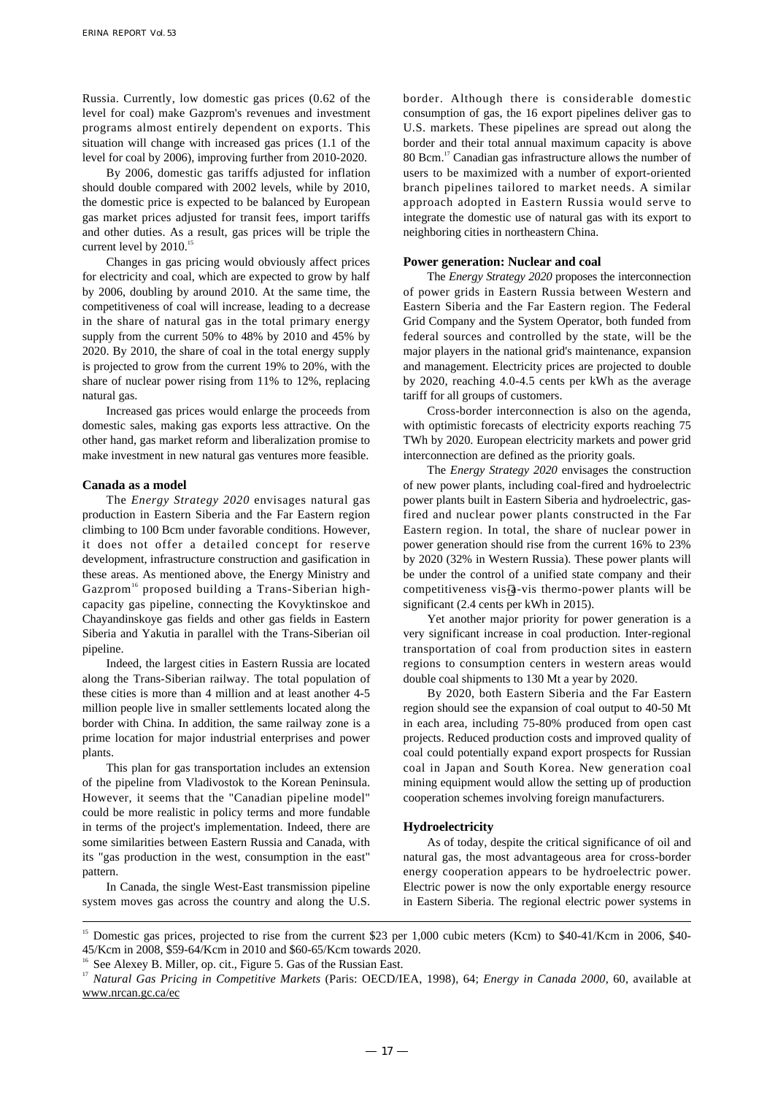Russia. Currently, low domestic gas prices (0.62 of the level for coal) make Gazprom's revenues and investment programs almost entirely dependent on exports. This situation will change with increased gas prices (1.1 of the level for coal by 2006), improving further from 2010-2020.

By 2006, domestic gas tariffs adjusted for inflation should double compared with 2002 levels, while by 2010, the domestic price is expected to be balanced by European gas market prices adjusted for transit fees, import tariffs and other duties. As a result, gas prices will be triple the current level by 2010.<sup>15</sup>

Changes in gas pricing would obviously affect prices for electricity and coal, which are expected to grow by half by 2006, doubling by around 2010. At the same time, the competitiveness of coal will increase, leading to a decrease in the share of natural gas in the total primary energy supply from the current 50% to 48% by 2010 and 45% by 2020. By 2010, the share of coal in the total energy supply is projected to grow from the current 19% to 20%, with the share of nuclear power rising from 11% to 12%, replacing natural gas.

Increased gas prices would enlarge the proceeds from domestic sales, making gas exports less attractive. On the other hand, gas market reform and liberalization promise to make investment in new natural gas ventures more feasible.

## **Canada as a model**

The *Energy Strategy 2020* envisages natural gas production in Eastern Siberia and the Far Eastern region climbing to 100 Bcm under favorable conditions. However, it does not offer a detailed concept for reserve development, infrastructure construction and gasification in these areas. As mentioned above, the Energy Ministry and Gazprom<sup>16</sup> proposed building a Trans-Siberian highcapacity gas pipeline, connecting the Kovyktinskoe and Chayandinskoye gas fields and other gas fields in Eastern Siberia and Yakutia in parallel with the Trans-Siberian oil pipeline.

Indeed, the largest cities in Eastern Russia are located along the Trans-Siberian railway. The total population of these cities is more than 4 million and at least another 4-5 million people live in smaller settlements located along the border with China. In addition, the same railway zone is a prime location for major industrial enterprises and power plants.

This plan for gas transportation includes an extension of the pipeline from Vladivostok to the Korean Peninsula. However, it seems that the "Canadian pipeline model" could be more realistic in policy terms and more fundable in terms of the project's implementation. Indeed, there are some similarities between Eastern Russia and Canada, with its "gas production in the west, consumption in the east" pattern.

In Canada, the single West-East transmission pipeline system moves gas across the country and along the U.S. border. Although there is considerable domestic consumption of gas, the 16 export pipelines deliver gas to U.S. markets. These pipelines are spread out along the border and their total annual maximum capacity is above 80 Bcm.<sup>17</sup> Canadian gas infrastructure allows the number of users to be maximized with a number of export-oriented branch pipelines tailored to market needs. A similar approach adopted in Eastern Russia would serve to integrate the domestic use of natural gas with its export to neighboring cities in northeastern China.

## **Power generation: Nuclear and coal**

The *Energy Strategy 2020* proposes the interconnection of power grids in Eastern Russia between Western and Eastern Siberia and the Far Eastern region. The Federal Grid Company and the System Operator, both funded from federal sources and controlled by the state, will be the major players in the national grid's maintenance, expansion and management. Electricity prices are projected to double by 2020, reaching 4.0-4.5 cents per kWh as the average tariff for all groups of customers.

Cross-border interconnection is also on the agenda, with optimistic forecasts of electricity exports reaching 75 TWh by 2020. European electricity markets and power grid interconnection are defined as the priority goals.

The *Energy Strategy 2020* envisages the construction of new power plants, including coal-fired and hydroelectric power plants built in Eastern Siberia and hydroelectric, gasfired and nuclear power plants constructed in the Far Eastern region. In total, the share of nuclear power in power generation should rise from the current 16% to 23% by 2020 (32% in Western Russia). These power plants will be under the control of a unified state company and their competitiveness vis-a-vis thermo-power plants will be significant (2.4 cents per kWh in 2015).

Yet another major priority for power generation is a very significant increase in coal production. Inter-regional transportation of coal from production sites in eastern regions to consumption centers in western areas would double coal shipments to 130 Mt a year by 2020.

By 2020, both Eastern Siberia and the Far Eastern region should see the expansion of coal output to 40-50 Mt in each area, including 75-80% produced from open cast projects. Reduced production costs and improved quality of coal could potentially expand export prospects for Russian coal in Japan and South Korea. New generation coal mining equipment would allow the setting up of production cooperation schemes involving foreign manufacturers.

#### **Hydroelectricity**

As of today, despite the critical significance of oil and natural gas, the most advantageous area for cross-border energy cooperation appears to be hydroelectric power. Electric power is now the only exportable energy resource in Eastern Siberia. The regional electric power systems in

<sup>&</sup>lt;sup>15</sup> Domestic gas prices, projected to rise from the current \$23 per 1,000 cubic meters (Kcm) to \$40-41/Kcm in 2006, \$40-45/Kcm in 2008, \$59-64/Kcm in 2010 and \$60-65/Kcm towards 2020.

See Alexey B. Miller, op. cit., Figure 5. Gas of the Russian East.

<sup>&</sup>lt;sup>17</sup> Natural Gas Pricing in Competitive Markets (Paris: OECD/IEA, 1998), 64; *Energy in Canada 2000*, 60, available at www.nrcan.gc.ca/ec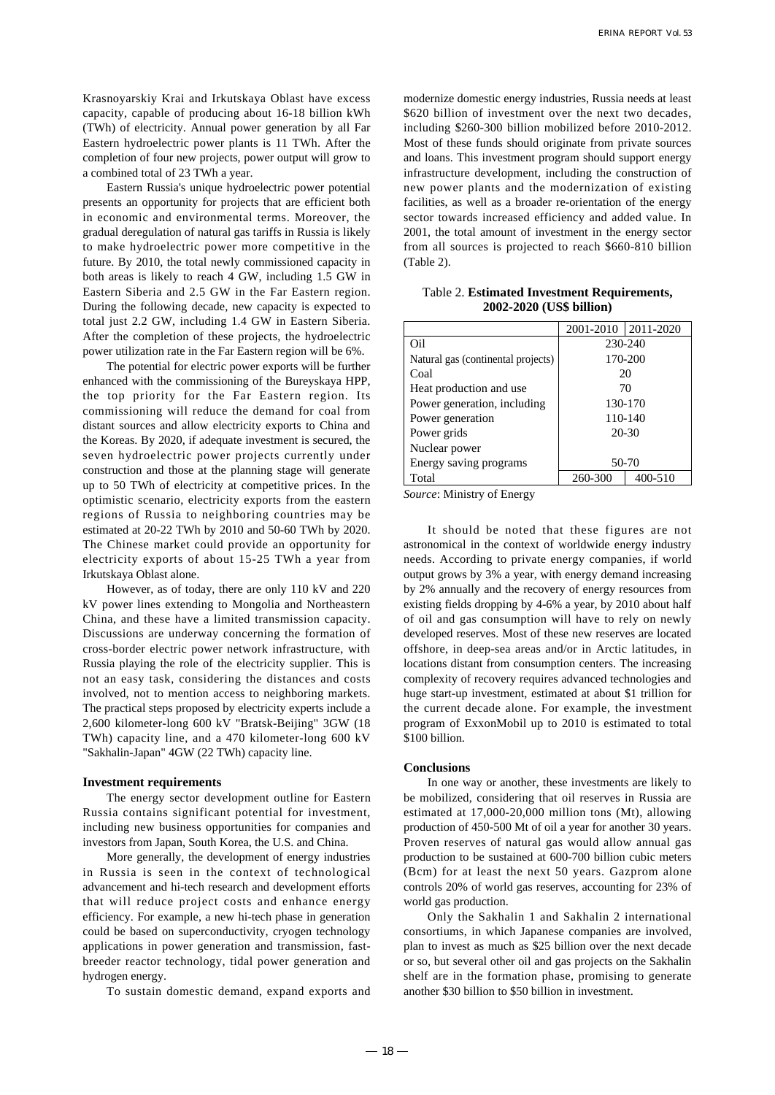Krasnoyarskiy Krai and Irkutskaya Oblast have excess capacity, capable of producing about 16-18 billion kWh (TWh) of electricity. Annual power generation by all Far Eastern hydroelectric power plants is 11 TWh. After the completion of four new projects, power output will grow to a combined total of 23 TWh a year.

Eastern Russia's unique hydroelectric power potential presents an opportunity for projects that are efficient both in economic and environmental terms. Moreover, the gradual deregulation of natural gas tariffs in Russia is likely to make hydroelectric power more competitive in the future. By 2010, the total newly commissioned capacity in both areas is likely to reach 4 GW, including 1.5 GW in Eastern Siberia and 2.5 GW in the Far Eastern region. During the following decade, new capacity is expected to total just 2.2 GW, including 1.4 GW in Eastern Siberia. After the completion of these projects, the hydroelectric power utilization rate in the Far Eastern region will be 6%.

The potential for electric power exports will be further enhanced with the commissioning of the Bureyskaya HPP, the top priority for the Far Eastern region. Its commissioning will reduce the demand for coal from distant sources and allow electricity exports to China and the Koreas. By 2020, if adequate investment is secured, the seven hydroelectric power projects currently under construction and those at the planning stage will generate up to 50 TWh of electricity at competitive prices. In the optimistic scenario, electricity exports from the eastern regions of Russia to neighboring countries may be estimated at 20-22 TWh by 2010 and 50-60 TWh by 2020. The Chinese market could provide an opportunity for electricity exports of about 15-25 TWh a year from Irkutskaya Oblast alone.

However, as of today, there are only 110 kV and 220 kV power lines extending to Mongolia and Northeastern China, and these have a limited transmission capacity. Discussions are underway concerning the formation of cross-border electric power network infrastructure, with Russia playing the role of the electricity supplier. This is not an easy task, considering the distances and costs involved, not to mention access to neighboring markets. The practical steps proposed by electricity experts include a 2,600 kilometer-long 600 kV "Bratsk-Beijing" 3GW (18 TWh) capacity line, and a 470 kilometer-long 600 kV "Sakhalin-Japan" 4GW (22 TWh) capacity line.

#### **Investment requirements**

The energy sector development outline for Eastern Russia contains significant potential for investment, including new business opportunities for companies and investors from Japan, South Korea, the U.S. and China.

More generally, the development of energy industries in Russia is seen in the context of technological advancement and hi-tech research and development efforts that will reduce project costs and enhance energy efficiency. For example, a new hi-tech phase in generation could be based on superconductivity, cryogen technology applications in power generation and transmission, fastbreeder reactor technology, tidal power generation and hydrogen energy.

To sustain domestic demand, expand exports and

modernize domestic energy industries, Russia needs at least \$620 billion of investment over the next two decades, including \$260-300 billion mobilized before 2010-2012. Most of these funds should originate from private sources and loans. This investment program should support energy infrastructure development, including the construction of new power plants and the modernization of existing facilities, as well as a broader re-orientation of the energy sector towards increased efficiency and added value. In 2001, the total amount of investment in the energy sector from all sources is projected to reach \$660-810 billion (Table 2).

|                                    | 2001-2010   2011-2020 |         |  |
|------------------------------------|-----------------------|---------|--|
| Oil                                | 230-240               |         |  |
| Natural gas (continental projects) | 170-200               |         |  |
| Coal                               | 20                    |         |  |
| Heat production and use            | 70                    |         |  |
| Power generation, including        | 130-170               |         |  |
| Power generation                   | 110-140               |         |  |
| Power grids                        | $20 - 30$             |         |  |
| Nuclear power                      |                       |         |  |
| Energy saving programs             | 50-70                 |         |  |
| Total                              | 260-300               | 400-510 |  |

Table 2. **Estimated Investment Requirements, 2002-2020 (US\$ billion)**

*Source*: Ministry of Energy

It should be noted that these figures are not astronomical in the context of worldwide energy industry needs. According to private energy companies, if world output grows by 3% a year, with energy demand increasing by 2% annually and the recovery of energy resources from existing fields dropping by 4-6% a year, by 2010 about half of oil and gas consumption will have to rely on newly developed reserves. Most of these new reserves are located offshore, in deep-sea areas and/or in Arctic latitudes, in locations distant from consumption centers. The increasing complexity of recovery requires advanced technologies and huge start-up investment, estimated at about \$1 trillion for the current decade alone. For example, the investment program of ExxonMobil up to 2010 is estimated to total \$100 billion.

## **Conclusions**

In one way or another, these investments are likely to be mobilized, considering that oil reserves in Russia are estimated at 17,000-20,000 million tons (Mt), allowing production of 450-500 Mt of oil a year for another 30 years. Proven reserves of natural gas would allow annual gas production to be sustained at 600-700 billion cubic meters (Bcm) for at least the next 50 years. Gazprom alone controls 20% of world gas reserves, accounting for 23% of world gas production.

Only the Sakhalin 1 and Sakhalin 2 international consortiums, in which Japanese companies are involved, plan to invest as much as \$25 billion over the next decade or so, but several other oil and gas projects on the Sakhalin shelf are in the formation phase, promising to generate another \$30 billion to \$50 billion in investment.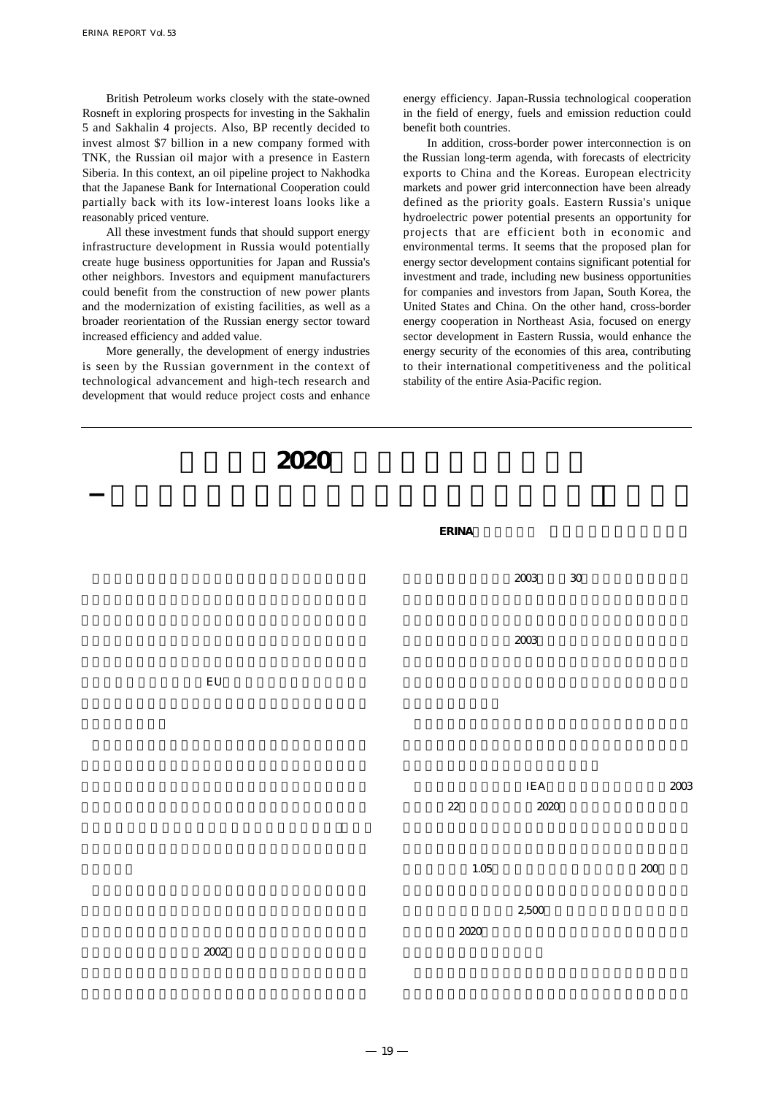British Petroleum works closely with the state-owned Rosneft in exploring prospects for investing in the Sakhalin 5 and Sakhalin 4 projects. Also, BP recently decided to invest almost \$7 billion in a new company formed with TNK, the Russian oil major with a presence in Eastern Siberia. In this context, an oil pipeline project to Nakhodka that the Japanese Bank for International Cooperation could partially back with its low-interest loans looks like a reasonably priced venture.

All these investment funds that should support energy infrastructure development in Russia would potentially create huge business opportunities for Japan and Russia's other neighbors. Investors and equipment manufacturers could benefit from the construction of new power plants and the modernization of existing facilities, as well as a broader reorientation of the Russian energy sector toward increased efficiency and added value.

More generally, the development of energy industries is seen by the Russian government in the context of technological advancement and high-tech research and development that would reduce project costs and enhance energy efficiency. Japan-Russia technological cooperation in the field of energy, fuels and emission reduction could benefit both countries.

In addition, cross-border power interconnection is on the Russian long-term agenda, with forecasts of electricity exports to China and the Koreas. European electricity markets and power grid interconnection have been already defined as the priority goals. Eastern Russia's unique hydroelectric power potential presents an opportunity for projects that are efficient both in economic and environmental terms. It seems that the proposed plan for energy sector development contains significant potential for investment and trade, including new business opportunities for companies and investors from Japan, South Korea, the United States and China. On the other hand, cross-border energy cooperation in Northeast Asia, focused on energy sector development in Eastern Russia, would enhance the energy security of the economies of this area, contributing to their international competitiveness and the political stability of the entire Asia-Pacific region.